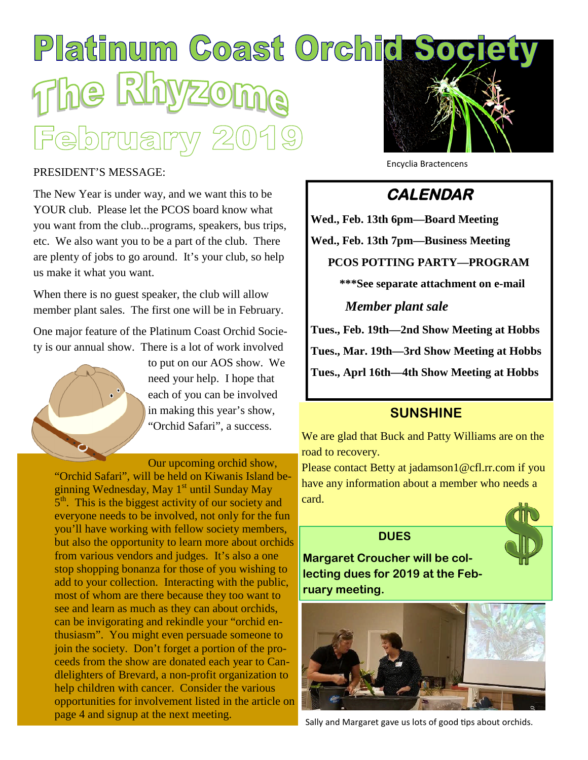# Platinum Coast Orchic Socie 마YTG |유트

#### PRESIDENT'S MESSAGE:

The New Year is under way, and we want this to be YOUR club. Please let the PCOS board know what you want from the club...programs, speakers, bus trips, etc. We also want you to be a part of the club. There are plenty of jobs to go around. It's your club, so help us make it what you want.

When there is no guest speaker, the club will allow member plant sales. The first one will be in February.

One major feature of the Platinum Coast Orchid Society is our annual show. There is a lot of work involved



to put on our AOS show. We need your help. I hope that each of you can be involved in making this year's show, "Orchid Safari", a success.

Our upcoming orchid show, "Orchid Safari", will be held on Kiwanis Island beginning Wednesday, May  $1<sup>st</sup>$  until Sunday May 5<sup>th</sup>. This is the biggest activity of our society and everyone needs to be involved, not only for the fun you'll have working with fellow society members, but also the opportunity to learn more about orchids from various vendors and judges. It's also a one stop shopping bonanza for those of you wishing to add to your collection. Interacting with the public, most of whom are there because they too want to see and learn as much as they can about orchids, can be invigorating and rekindle your "orchid enthusiasm". You might even persuade someone to join the society. Don't forget a portion of the proceeds from the show are donated each year to Candlelighters of Brevard, a non-profit organization to help children with cancer. Consider the various opportunities for involvement listed in the article on page 4 and signup at the next meeting.



Encyclia Bractencens

# **CALENDAR**

**Wed., Feb. 13th 6pm—Board Meeting Wed., Feb. 13th 7pm—Business Meeting PCOS POTTING PARTY—PROGRAM \*\*\*See separate attachment on e-mail** *Member plant sale* **Tues., Feb. 19th—2nd Show Meeting at Hobbs Tues., Mar. 19th—3rd Show Meeting at Hobbs Tues., Aprl 16th—4th Show Meeting at Hobbs**

### **SUNSHINE**

We are glad that Buck and Patty Williams are on the road to recovery.

Please contact Betty at jadamson1@cfl.rr.com if you have any information about a member who needs a card.

#### **DUES**



**Margaret Croucher will be collecting dues for 2019 at the February meeting.**



Sally and Margaret gave us lots of good tips about orchids.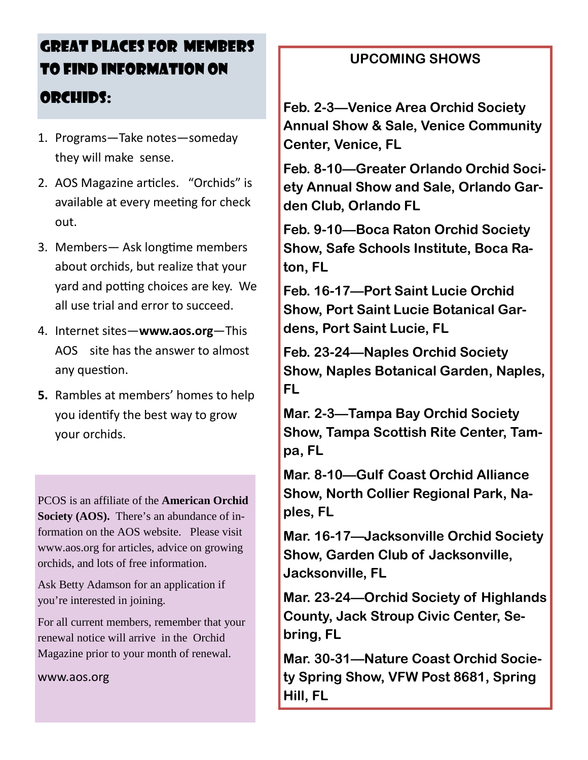# GREAT PLACES FOR MEMBERS TO FIND INFORMATION ON ORCHIDS:

- 1. Programs—Take notes—someday they will make sense.
- 2. A OS Magazine articles. "Orchids" is available at every meeting for check out.
- 3. Members— Ask longtime members about orchids, but realize that your yard and potting choices are key. We all use trial and error to succeed.
- 4. Internet sites—**www.aos.org**—This AOS site has the answer to almost any question.
- **5.** Rambles at members' homes to help you identify the best way to grow your orchids.

PCOS is an affiliate of the **American Orchid Society (AOS).** There's an abundance of information on the AOS website. Please visit www.aos.org for articles, advice on growing orchids, and lots of free information.

Ask Betty Adamson for an application if you're interested in joining.

For all current members, remember that your renewal notice will arrive in the Orchid Magazine prior to your month of renewal.

www.aos.org

## **UPCOMING SHOWS**

**Feb. 2-3—Venice Area Orchid Society Annual Show & Sale, Venice Community Center, Venice, FL**

**Feb. 8-10—Greater Orlando Orchid Society Annual Show and Sale, Orlando Garden Club, Orlando FL**

**Feb. 9-10—Boca Raton Orchid Society Show, Safe Schools Institute, Boca Raton, FL**

**Feb. 16-17—Port Saint Lucie Orchid Show, Port Saint Lucie Botanical Gardens, Port Saint Lucie, FL**

**Feb. 23-24—Naples Orchid Society Show, Naples Botanical Garden, Naples, FL**

**Mar. 2-3—Tampa Bay Orchid Society Show, Tampa Scottish Rite Center, Tampa, FL**

**Mar. 8-10—Gulf Coast Orchid Alliance Show, North Collier Regional Park, Naples, FL**

**Mar. 16-17—Jacksonville Orchid Society Show, Garden Club of Jacksonville, Jacksonville, FL**

**Mar. 23-24—Orchid Society of Highlands County, Jack Stroup Civic Center, Sebring, FL**

**Mar. 30-31—Nature Coast Orchid Society Spring Show, VFW Post 8681, Spring Hill, FL**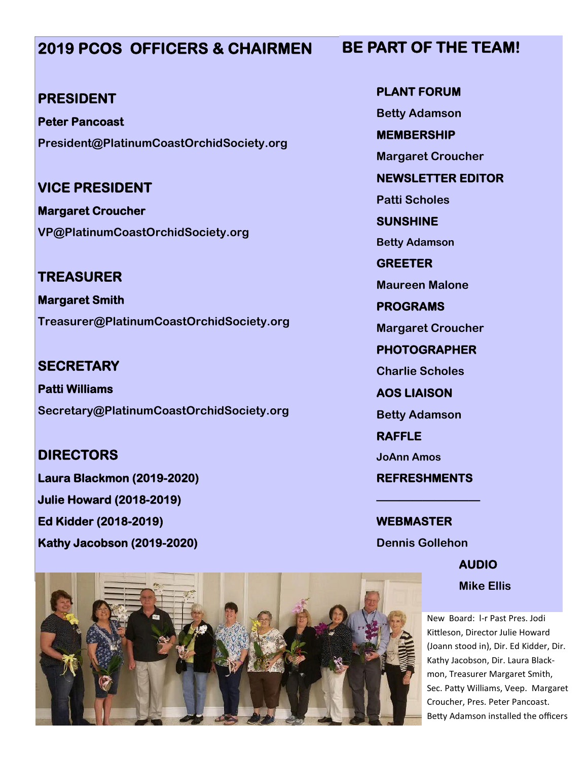# **2019 PCOS OFFICERS & CHAIRMEN**

#### **PRESIDENT**

**Peter Pancoast President@PlatinumCoastOrchidSociety.org**

# **VICE PRESIDENT**

**Margaret Croucher VP@PlatinumCoastOrchidSociety.org**

**TREASURER Margaret Smith Treasurer@PlatinumCoastOrchidSociety.org**

**SECRETARY Patti Williams Secretary@PlatinumCoastOrchidSociety.org**

#### **DIRECTORS**

**Laura Blackmon (2019-2020) Julie Howard (2018-2019) Ed Kidder (2018-2019) Kathy Jacobson (2019-2020)**

**PLANT FORUM Betty Adamson MEMBERSHIP**

**Margaret Croucher**

**NEWSLETTER EDITOR**

**Patti Scholes**

**SUNSHINE**

**Betty Adamson**

**GREETER**

**Maureen Malone**

**PROGRAMS**

**Margaret Croucher**

**PHOTOGRAPHER**

**Charlie Scholes**

**AOS LIAISON**

**Betty Adamson**

**RAFFLE**

**JoAnn Amos**

**REFRESHMENTS**

**—————————**

**WEBMASTER Dennis Gollehon**

> **AUDIO Mike Ellis**

New Board: l-r Past Pres. Jodi Kittleson, Director Julie Howard (Joann stood in), Dir. Ed Kidder, Dir. Kathy Jacobson, Dir. Laura Blackmon, Treasurer Margaret Smith, Sec. Patty Williams, Veep. Margaret Croucher, Pres. Peter Pancoast. Betty Adamson installed the officers



### **BE PART OF THE TEAM!**